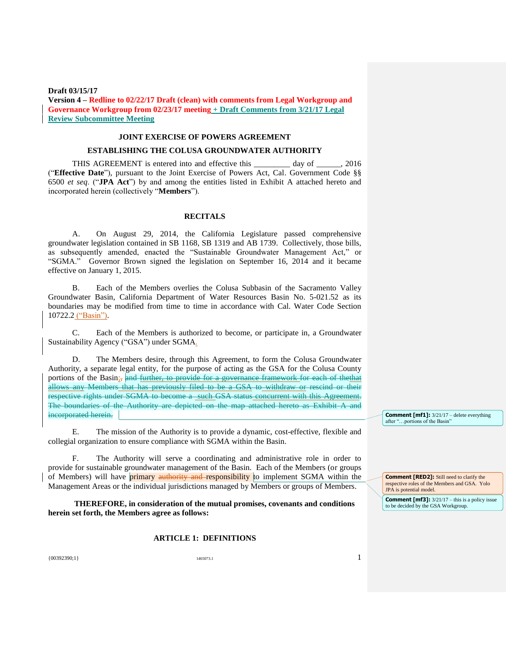# **JOINT EXERCISE OF POWERS AGREEMENT**

### **ESTABLISHING THE COLUSA GROUNDWATER AUTHORITY**

THIS AGREEMENT is entered into and effective this day of 2016 ("**Effective Date**"), pursuant to the Joint Exercise of Powers Act, Cal. Government Code §§ 6500 *et seq*. ("**JPA Act**") by and among the entities listed in Exhibit A attached hereto and incorporated herein (collectively "**Members**").

## **RECITALS**

A. On August 29, 2014, the California Legislature passed comprehensive groundwater legislation contained in SB 1168, SB 1319 and AB 1739. Collectively, those bills, as subsequently amended, enacted the "Sustainable Groundwater Management Act," or "SGMA." Governor Brown signed the legislation on September 16, 2014 and it became effective on January 1, 2015.

B. Each of the Members overlies the Colusa Subbasin of the Sacramento Valley Groundwater Basin, California Department of Water Resources Basin No. 5-021.52 as its boundaries may be modified from time to time in accordance with Cal. Water Code Section 10722.2 ("Basin").

C. Each of the Members is authorized to become, or participate in, a Groundwater Sustainability Agency ("GSA") under SGMA.

D. The Members desire, through this Agreement, to form the Colusa Groundwater Authority, a separate legal entity, for the purpose of acting as the GSA for the Colusa County portions of the Basin; and further, to provide for a governance framework for each of thethat allows any Members that has previously filed to be a GSA to withdraw or rescind or their respective rights under SGMA to become a such GSA status concurrent with this Agreement. The boundaries of the Authority are depicted on the map attached hereto as Exhibit A and incorporated herein.

E. The mission of the Authority is to provide a dynamic, cost-effective, flexible and collegial organization to ensure compliance with SGMA within the Basin.

F. The Authority will serve a coordinating and administrative role in order to provide for sustainable groundwater management of the Basin. Each of the Members (or groups of Members) will have **primary authority and responsibility** to implement SGMA within the Management Areas or the individual jurisdictions managed by Members or groups of Members.

**THEREFORE, in consideration of the mutual promises, covenants and conditions herein set forth, the Members agree as follows:**

### **ARTICLE 1: DEFINITIONS**

**Comment [mf1]:** 3/21/17 – delete everything

after "…portions of the Basin"

**Comment [RED2]:** Still need to clarify the respective roles of the Members and GSA. Yolo JPA is potential model.

**Comment [mf3]:**  $3/21/17$  – this is a policy issue to be decided by the GSA Workgroup.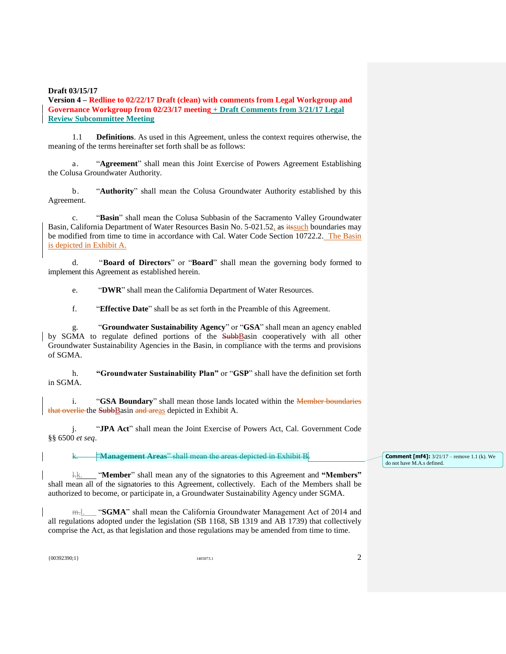**Version 4 – Redline to 02/22/17 Draft (clean) with comments from Legal Workgroup and Governance Workgroup from 02/23/17 meeting + Draft Comments from 3/21/17 Legal Review Subcommittee Meeting**

1.1 **Definitions**. As used in this Agreement, unless the context requires otherwise, the meaning of the terms hereinafter set forth shall be as follows:

a. "**Agreement**" shall mean this Joint Exercise of Powers Agreement Establishing the Colusa Groundwater Authority.

b. "**Authority**" shall mean the Colusa Groundwater Authority established by this Agreement.

c. "**Basin**" shall mean the Colusa Subbasin of the Sacramento Valley Groundwater Basin, California Department of Water Resources Basin No. 5-021.52, as its such boundaries may be modified from time to time in accordance with Cal. Water Code Section 10722.2. The Basin is depicted in Exhibit A.

d. "**Board of Directors**" or "**Board**" shall mean the governing body formed to implement this Agreement as established herein.

e. "**DWR**" shall mean the California Department of Water Resources.

f. "**Effective Date**" shall be as set forth in the Preamble of this Agreement.

g. "**Groundwater Sustainability Agency**" or "**GSA**" shall mean an agency enabled by SGMA to regulate defined portions of the SubbBasin cooperatively with all other Groundwater Sustainability Agencies in the Basin, in compliance with the terms and provisions of SGMA.

h. **"Groundwater Sustainability Plan"** or "**GSP**" shall have the definition set forth in SGMA.

i. "**GSA Boundary**" shall mean those lands located within the Member boundaries that overlie the SubbBasin and areas depicted in Exhibit A.

j. "**JPA Act**" shall mean the Joint Exercise of Powers Act, Cal. Government Code §§ 6500 *et seq*.

k. "**Management Areas**" shall mean the areas depicted in Exhibit B.

l.k. "**Member**" shall mean any of the signatories to this Agreement and **"Members"** shall mean all of the signatories to this Agreement, collectively. Each of the Members shall be authorized to become, or participate in, a Groundwater Sustainability Agency under SGMA.

"SGMA" shall mean the California Groundwater Management Act of 2014 and all regulations adopted under the legislation (SB 1168, SB 1319 and AB 1739) that collectively comprise the Act, as that legislation and those regulations may be amended from time to time.

 ${1465073.1}$  1465073.1 2

**Comment [mf4]:** 3/21/17 – remove 1.1 (k). We do not have M.A.s defined.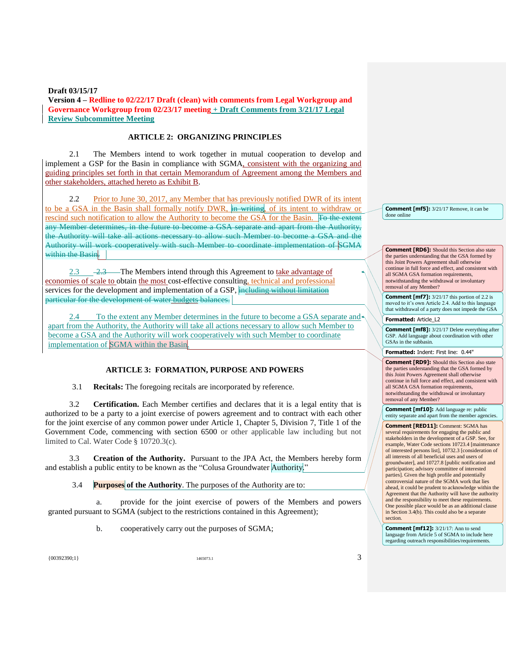## **ARTICLE 2: ORGANIZING PRINCIPLES**

2.1 The Members intend to work together in mutual cooperation to develop and implement a GSP for the Basin in compliance with SGMA, consistent with the organizing and guiding principles set forth in that certain Memorandum of Agreement among the Members and other stakeholders, attached hereto as Exhibit B.

2.2 Prior to June 30, 2017, any Member that has previously notified DWR of its intent to be a GSA in the Basin shall formally notify DWR, in writing, of its intent to withdraw or rescind such notification to allow the Authority to become the GSA for the Basin. To the extent any Member determines, in the future to become a GSA separate and apart from the Authority, the Authority will take all actions necessary to allow such Member to become a GSA and the Authority will work cooperatively with such Member to coordinate implementation of SGMA within the Basin.

2.3 2.3 The Members intend through this Agreement to take advantage of economies of scale to obtain the most cost-effective consulting, technical and professional services for the development and implementation of a GSP, including without limitation particular for the development of water budgets balances.

2.4 To the extent any Member determines in the future to become a GSA separate and apart from the Authority, the Authority will take all actions necessary to allow such Member to become a GSA and the Authority will work cooperatively with such Member to coordinate implementation of SGMA within the Basin.

## **ARTICLE 3: FORMATION, PURPOSE AND POWERS**

3.1 **Recitals:** The foregoing recitals are incorporated by reference.

3.2 **Certification.** Each Member certifies and declares that it is a legal entity that is authorized to be a party to a joint exercise of powers agreement and to contract with each other for the joint exercise of any common power under Article 1, Chapter 5, Division 7, Title 1 of the Government Code, commencing with section 6500 or other applicable law including but not limited to Cal. Water Code § 10720.3(c).

3.3 **Creation of the Authority.** Pursuant to the JPA Act, the Members hereby form and establish a public entity to be known as the "Colusa Groundwater Authority."

3.4 **Purposes of the Authority**. The purposes of the Authority are to:

a. provide for the joint exercise of powers of the Members and powers granted pursuant to SGMA (subject to the restrictions contained in this Agreement);

b. cooperatively carry out the purposes of SGMA;

**Comment [mf5]:** 3/21/17 Remove, it can be done online

**Comment [RD6]:** Should this Section also state the parties understanding that the GSA formed by this Joint Powers Agreement shall otherwise continue in full force and effect, and consistent with all SGMA GSA formation requirements, notwithstanding the withdrawal or involuntary removal of any Member?

**Comment [mf7]:** 3/21/17 this portion of 2.2 is moved to it's own Article 2.4. Add to this language that withdrawal of a party does not impede the GSA

**Formatted:** Article L2

**Comment [mf8]:** 3/21/17 Delete everything after GSP. Add language about coordination with other GSAs in the subbasin.

**Formatted:** Indent: First line: 0.44"

**Comment [RD9]:** Should this Section also state the parties understanding that the GSA formed by this Joint Powers Agreement shall otherwise continue in full force and effect, and consistent with all SGMA GSA formation requirements, notwithstanding the withdrawal or involuntary removal of any Member?

**Comment [mf10]:** Add language re: public entity separate and apart from the member agencies.

**Comment [RED11]:** Comment: SGMA has

several requirements for engaging the public and stakeholders in the development of a GSP. See, for example, Water Code sections 10723.4 [maintenance of interested persons list], 10732.3 [consideration of all interests of all beneficial uses and users of groundwater], and 10727.8 [public notification and participation; advisory committee of interested parties]. Given the high profile and potentially controversial nature of the SGMA work that lies ahead, it could be prudent to acknowledge within the Agreement that the Authority will have the authority and the responsibility to meet these requirements. One possible place would be as an additional clause in Section 3.4(b). This could also be a separate section.

**Comment [mf12]:**  $3/21/17$ : Ann to send language from Article 5 of SGMA to include here regarding outreach responsibilities/requirements.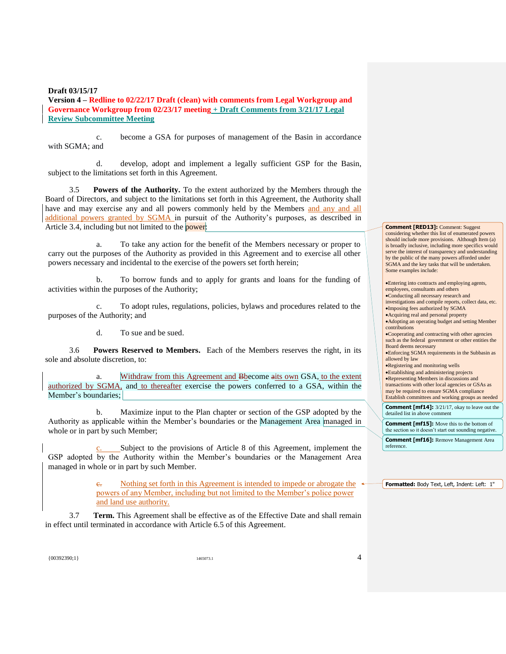**Version 4 – Redline to 02/22/17 Draft (clean) with comments from Legal Workgroup and Governance Workgroup from 02/23/17 meeting + Draft Comments from 3/21/17 Legal Review Subcommittee Meeting**

c. become a GSA for purposes of management of the Basin in accordance with SGMA; and

d. develop, adopt and implement a legally sufficient GSP for the Basin, subject to the limitations set forth in this Agreement.

3.5 **Powers of the Authority.** To the extent authorized by the Members through the Board of Directors, and subject to the limitations set forth in this Agreement, the Authority shall have and may exercise any and all powers commonly held by the Members and any and all additional powers granted by SGMA in pursuit of the Authority's purposes, as described in Article 3.4, including but not limited to the power:

a. To take any action for the benefit of the Members necessary or proper to carry out the purposes of the Authority as provided in this Agreement and to exercise all other powers necessary and incidental to the exercise of the powers set forth herein;

b. To borrow funds and to apply for grants and loans for the funding of activities within the purposes of the Authority;

c. To adopt rules, regulations, policies, bylaws and procedures related to the purposes of the Authority; and

d. To sue and be sued.

3.6 **Powers Reserved to Members.** Each of the Members reserves the right, in its sole and absolute discretion, to:

a. Withdraw from this Agreement and Bbecome aits own GSA, to the extent authorized by SGMA, and to thereafter exercise the powers conferred to a GSA, within the Member's boundaries;

b. Maximize input to the Plan chapter or section of the GSP adopted by the Authority as applicable within the Member's boundaries or the Management Area managed in whole or in part by such Member;

Subject to the provisions of Article 8 of this Agreement, implement the GSP adopted by the Authority within the Member's boundaries or the Management Area managed in whole or in part by such Member.

> Nothing set forth in this Agreement is intended to impede or abrogate the  $\leftrightarrow$ powers of any Member, including but not limited to the Member's police power and land use authority.

3.7 **Term.** This Agreement shall be effective as of the Effective Date and shall remain in effect until terminated in accordance with Article 6.5 of this Agreement.

**Comment [RED13]:** Comment: Suggest considering whether this list of enumerated powers should include more provisions. Although Item (a) is broadly inclusive, including more specifics would serve the interest of transparency and understanding by the public of the many powers afforded under SGMA and the key tasks that will be undertaken. Some examples include:

Entering into contracts and employing agents, employees, consultants and others Conducting all necessary research and investigations and compile reports, collect data, etc. Imposing fees authorized by SGMA Acquiring real and personal property Adopting an operating budget and setting Member contributions Cooperating and contracting with other agencies such as the federal government or other entities the Board deems necessary Enforcing SGMA requirements in the Subbasin as allowed by law Registering and monitoring wells Establishing and administering projects Representing Members in discussions and transactions with other local agencies or GSAs as may be required to ensure SGMA compliance Establish committees and working groups as needed **Comment [mf14]:** 3/21/17, okay to leave out the detailed list in above comment **Comment [mf15]:** Move this to the bottom of the section so it doesn't start out sounding negative.

**Comment [mf16]:** Remove Management Area reference

**Formatted:** Body Text, Left, Indent: Left: 1"

 ${1465073.1}$  1465073.1 465073.1 465073.1 4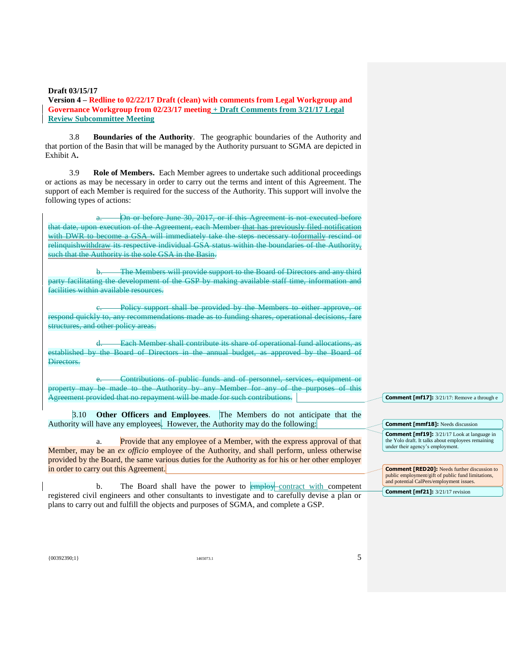**Version 4 – Redline to 02/22/17 Draft (clean) with comments from Legal Workgroup and Governance Workgroup from 02/23/17 meeting + Draft Comments from 3/21/17 Legal Review Subcommittee Meeting**

3.8 **Boundaries of the Authority**. The geographic boundaries of the Authority and that portion of the Basin that will be managed by the Authority pursuant to SGMA are depicted in Exhibit A**.**

3.9 **Role of Members.** Each Member agrees to undertake such additional proceedings or actions as may be necessary in order to carry out the terms and intent of this Agreement. The support of each Member is required for the success of the Authority. This support will involve the following types of actions:

On or before June 30, 2017, or if this Agreement is not executed before that date, upon execution of the Agreement, each Member that has previously filed notification with DWR to become a GSA will immediately take the steps necessary toformally rescind or relinquishwithdraw its respective individual GSA status within the boundaries of the Authority, such that the Authority is the sole GSA in the Basin.

b. The Members will provide support to the Board of Directors and any third party facilitating the development of the GSP by making available staff time, information and facilities within available resources.

c. Policy support shall be provided by the Members to either approve, or respond quickly to, any recommendations made as to funding shares, operational decisions, fare structures, and other policy areas.

d. Each Member shall contribute its share of operational fund allocations, as established by the Board of Directors in the annual budget, as approved by the Board of Directors.

e. Contributions of public funds and of personnel, services, equipment or property may be made to the Authority by any Member for any of the purposes of this Agreement provided that no repayment will be made for such contributions.

3.10 **Other Officers and Employees**. The Members do not anticipate that the Authority will have any employees. However, the Authority may do the following:

a. Provide that any employee of a Member, with the express approval of that Member, may be an *ex officio* employee of the Authority, and shall perform, unless otherwise provided by the Board, the same various duties for the Authority as for his or her other employer in order to carry out this Agreement.

The Board shall have the power to employ contract with competent registered civil engineers and other consultants to investigate and to carefully devise a plan or plans to carry out and fulfill the objects and purposes of SGMA, and complete a GSP.

**Comment [mf17]:** 3/21/17: Remove a through e

**Comment [mmf18]:** Needs discussion **Comment [mf19]:**  $3/21/17$  Look at language in the Yolo draft. It talks about employees remaining under their agency's employment.

**Comment [RED20]:** Needs further discussion to public employment/gift of public fund limitations, and potential CalPers/employment issues.

**Comment [mf21]:** 3/21/17 revision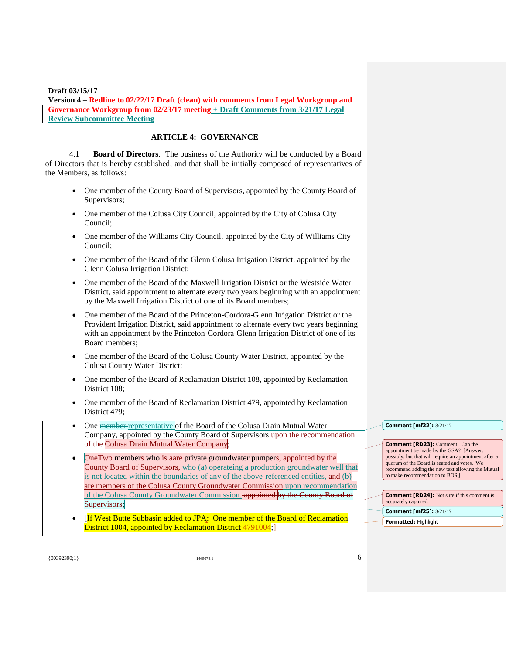**Version 4 – Redline to 02/22/17 Draft (clean) with comments from Legal Workgroup and Governance Workgroup from 02/23/17 meeting + Draft Comments from 3/21/17 Legal Review Subcommittee Meeting**

# **ARTICLE 4: GOVERNANCE**

4.1 **Board of Directors**. The business of the Authority will be conducted by a Board of Directors that is hereby established, and that shall be initially composed of representatives of the Members, as follows:

- One member of the County Board of Supervisors, appointed by the County Board of Supervisors;
- One member of the Colusa City Council, appointed by the City of Colusa City Council;
- One member of the Williams City Council, appointed by the City of Williams City Council;
- One member of the Board of the Glenn Colusa Irrigation District, appointed by the Glenn Colusa Irrigation District;
- One member of the Board of the Maxwell Irrigation District or the Westside Water District, said appointment to alternate every two years beginning with an appointment by the Maxwell Irrigation District of one of its Board members;
- One member of the Board of the Princeton-Cordora-Glenn Irrigation District or the Provident Irrigation District, said appointment to alternate every two years beginning with an appointment by the Princeton-Cordora-Glenn Irrigation District of one of its Board members;
- One member of the Board of the Colusa County Water District, appointed by the Colusa County Water District;
- One member of the Board of Reclamation District 108, appointed by Reclamation District 108;
- One member of the Board of Reclamation District 479, appointed by Reclamation District 479;
- One **member** representative of the Board of the Colusa Drain Mutual Water Company, appointed by the County Board of Supervisors upon the recommendation of the Colusa Drain Mutual Water Company;
- OneTwo members who is aare private groundwater pumpers, appointed by the County Board of Supervisors, who (a) operateing a production groundwater well that is not located within the boundaries of any of the above-referenced entities, and (b) are members of the Colusa County Groundwater Commission upon recommendation of the Colusa County Groundwater Commission. **appointed by the County Board of** Supervisors;
- [If West Butte Subbasin added to JPA: One member of the Board of Reclamation District 1004, appointed by Reclamation District 4791004;

#### **Comment [mf22]:** 3/21/17

**Comment [RD23]:** Comment: Can the appointment be made by the GSA? [Answer: possibly, but that will require an appointment after a quorum of the Board is seated and votes. We recommend adding the new text allowing the Mutual to make recommendation to BOS.]

| <b>Comment [RD24]:</b> Not sure if this comment is<br>accurately captured. |
|----------------------------------------------------------------------------|
| <b>Comment [mf25]:</b> 3/21/17                                             |
| <b>Formatted: Highlight</b>                                                |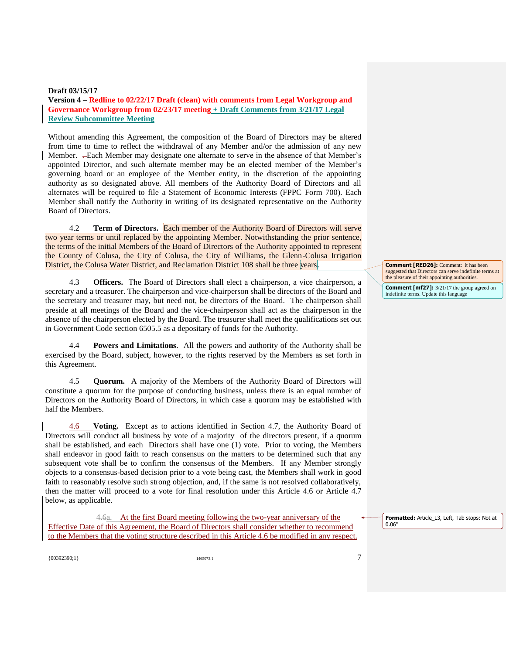**Version 4 – Redline to 02/22/17 Draft (clean) with comments from Legal Workgroup and Governance Workgroup from 02/23/17 meeting + Draft Comments from 3/21/17 Legal Review Subcommittee Meeting**

Without amending this Agreement, the composition of the Board of Directors may be altered from time to time to reflect the withdrawal of any Member and/or the admission of any new Member. . Each Member may designate one alternate to serve in the absence of that Member's appointed Director, and such alternate member may be an elected member of the Member's governing board or an employee of the Member entity, in the discretion of the appointing authority as so designated above. All members of the Authority Board of Directors and all alternates will be required to file a Statement of Economic Interests (FPPC Form 700). Each Member shall notify the Authority in writing of its designated representative on the Authority Board of Directors.

4.2 **Term of Directors.** Each member of the Authority Board of Directors will serve two year terms or until replaced by the appointing Member. Notwithstanding the prior sentence, the terms of the initial Members of the Board of Directors of the Authority appointed to represent the County of Colusa, the City of Colusa, the City of Williams, the Glenn-Colusa Irrigation District, the Colusa Water District, and Reclamation District 108 shall be three years.

4.3 **Officers.** The Board of Directors shall elect a chairperson, a vice chairperson, a secretary and a treasurer. The chairperson and vice-chairperson shall be directors of the Board and the secretary and treasurer may, but need not, be directors of the Board. The chairperson shall preside at all meetings of the Board and the vice-chairperson shall act as the chairperson in the absence of the chairperson elected by the Board. The treasurer shall meet the qualifications set out in Government Code section 6505.5 as a depositary of funds for the Authority.

4.4 **Powers and Limitations**. All the powers and authority of the Authority shall be exercised by the Board, subject, however, to the rights reserved by the Members as set forth in this Agreement.

4.5 **Quorum.** A majority of the Members of the Authority Board of Directors will constitute a quorum for the purpose of conducting business, unless there is an equal number of Directors on the Authority Board of Directors, in which case a quorum may be established with half the Members.

4.6 **Voting.** Except as to actions identified in Section 4.7, the Authority Board of Directors will conduct all business by vote of a majority of the directors present, if a quorum shall be established, and each Directors shall have one (1) vote. Prior to voting, the Members shall endeavor in good faith to reach consensus on the matters to be determined such that any subsequent vote shall be to confirm the consensus of the Members. If any Member strongly objects to a consensus-based decision prior to a vote being cast, the Members shall work in good faith to reasonably resolve such strong objection, and, if the same is not resolved collaboratively, then the matter will proceed to a vote for final resolution under this Article 4.6 or Article 4.7 below, as applicable.

4.6a. At the first Board meeting following the two-year anniversary of the Effective Date of this Agreement, the Board of Directors shall consider whether to recommend to the Members that the voting structure described in this Article 4.6 be modified in any respect.

0.06"

 ${1465073.1}$  1465073.1 7

**Comment [RED26]:** Comment: it has been suggested that Directors can serve indefinite terms at the pleasure of their appointing authorities.

**Comment [mf27]:** 3/21/17 the group agreed on indefinite terms. Update this language

**Formatted:** Article\_L3, Left, Tab stops: Not at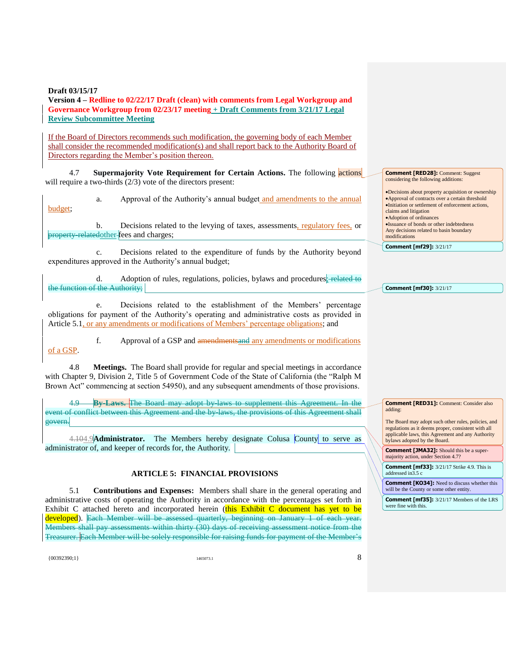**Version 4 – Redline to 02/22/17 Draft (clean) with comments from Legal Workgroup and Governance Workgroup from 02/23/17 meeting + Draft Comments from 3/21/17 Legal Review Subcommittee Meeting**

If the Board of Directors recommends such modification, the governing body of each Member shall consider the recommended modification(s) and shall report back to the Authority Board of Directors regarding the Member's position thereon.

4.7 **Supermajority Vote Requirement for Certain Actions.** The following actions will require a two-thirds (2/3) vote of the directors present:

a. Approval of the Authority's annual budget and amendments to the annual budget;

b. Decisions related to the levying of taxes, assessments, regulatory fees, or property-relatedother-fees and charges;

c. Decisions related to the expenditure of funds by the Authority beyond expenditures approved in the Authority's annual budget;

d. Adoption of rules, regulations, policies, bylaws and procedures; related to the function of the Authority;

e. Decisions related to the establishment of the Members' percentage obligations for payment of the Authority's operating and administrative costs as provided in Article 5.1, or any amendments or modifications of Members' percentage obligations; and

f. Approval of a GSP and amendmentsand any amendments or modifications of a GSP.

4.8 **Meetings.** The Board shall provide for regular and special meetings in accordance with Chapter 9, Division 2, Title 5 of Government Code of the State of California (the "Ralph M Brown Act" commencing at section 54950), and any subsequent amendments of those provisions.

4.9 **By-Laws.** The Board may adopt by-laws to supplement this Agreement. In the event of conflict between this Agreement and the by-laws, the provisions of this Agreement shall govern.

4.104.9**Administrator.** The Members hereby designate Colusa County to serve as administrator of, and keeper of records for, the Authority.

# **ARTICLE 5: FINANCIAL PROVISIONS**

5.1 **Contributions and Expenses:** Members shall share in the general operating and administrative costs of operating the Authority in accordance with the percentages set forth in Exhibit C attached hereto and incorporated herein (this Exhibit C document has yet to be developed). Each Member will be assessed quarterly, beginning on January 1 of each year. Members shall pay assessments within thirty (30) days of receiving assessment notice from the Treasurer. Each Member will be solely responsible for raising funds for payment of the Member's

 ${1465073.1}$  1465073.1 8

**Comment [RED28]:** Comment: Suggest considering the following additions:

Decisions about property acquisition or ownership Approval of contracts over a certain threshold Initiation or settlement of enforcement actions, claims and litigation Adoption of ordinances Issuance of bonds or other indebtedness Any decisions related to basin boundary modifications

**Comment [mf29]:** 3/21/17

#### **Comment [mf30]:** 3/21/17

**Comment [RED31]:** Comment: Consider also adding:

The Board may adopt such other rules, policies, and regulations as it deems proper, consistent with all applicable laws, this Agreement and any Authority bylaws adopted by the Board.

**Comment [JMA32]:** Should this be a supermajority action, under Section 4.7?

**Comment [mf33]:** 3/21/17 Strike 4.9. This is addressed in3.5 c

**Comment [KO34]:** Need to discuss whether this will be the County or some other entity.

**Comment [mf35]:** 3/21/17 Members of the LRS vere fine with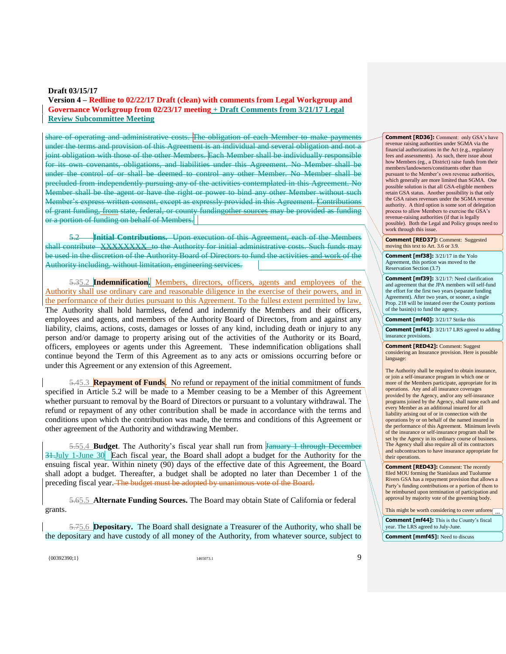# **Version 4 – Redline to 02/22/17 Draft (clean) with comments from Legal Workgroup and Governance Workgroup from 02/23/17 meeting + Draft Comments from 3/21/17 Legal Review Subcommittee Meeting**

share of operating and administrative costs. The obligation of each Member to make payments under the terms and provision of this Agreement is an individual and several obligation and not a joint obligation with those of the other Members. Each Member shall be individually responsible for its own covenants, obligations, and liabilities under this Agreement. No Member shall be under the control of or shall be deemed to control any other Member. No Member shall be precluded from independently pursuing any of the activities contemplated in this Agreement. No Member shall be the agent or have the right or power to bind any other Member without such Member's express written consent, except as expressly provided in this Agreement. Contributions of grant funding, from state, federal, or county fundingother sources may be provided as funding or a portion of funding on behalf of Members.

5.2 **Initial Contributions.** Upon execution of this Agreement, each of the Members shall contribute XXXXXXXXX to the Authority for initial administrative costs. Such funds may be used in the discretion of the Authority Board of Directors to fund the activities and work of the Authority including, without limitation, engineering services.

5.35.2 **Indemnification.** Members, directors, officers, agents and employees of the Authority shall use ordinary care and reasonable diligence in the exercise of their powers, and in the performance of their duties pursuant to this Agreement. To the fullest extent permitted by law, The Authority shall hold harmless, defend and indemnify the Members and their officers, employees and agents, and members of the Authority Board of Directors, from and against any liability, claims, actions, costs, damages or losses of any kind, including death or injury to any person and/or damage to property arising out of the activities of the Authority or its Board, officers, employees or agents under this Agreement. These indemnification obligations shall continue beyond the Term of this Agreement as to any acts or omissions occurring before or under this Agreement or any extension of this Agreement.

5.45.3 **Repayment of Funds**. No refund or repayment of the initial commitment of funds specified in Article 5.2 will be made to a Member ceasing to be a Member of this Agreement whether pursuant to removal by the Board of Directors or pursuant to a voluntary withdrawal. The refund or repayment of any other contribution shall be made in accordance with the terms and conditions upon which the contribution was made, the terms and conditions of this Agreement or other agreement of the Authority and withdrawing Member.

5.55.4 **Budget**. The Authority's fiscal year shall run from January 1 through December 31.July 1-June 30 Each fiscal year, the Board shall adopt a budget for the Authority for the ensuing fiscal year. Within ninety (90) days of the effective date of this Agreement, the Board shall adopt a budget. Thereafter, a budget shall be adopted no later than December 1 of the preceding fiscal year. The budget must be adopted by unanimous vote of the Board.

5.65.5 **Alternate Funding Sources.** The Board may obtain State of California or federal grants.

5.75.6 **Depositary.** The Board shall designate a Treasurer of the Authority, who shall be the depositary and have custody of all money of the Authority, from whatever source, subject to

 ${1465073.1}$  1465073.1 9

**Comment [RD36]:** Comment: only GSA's have revenue raising authorities under SGMA via the financial authorizations in the Act (e.g., regulatory fees and assessments). As such, there issue about how Members (eg., a District) raise funds from their members/landowners/constituents other than pursuant to the Member's own revenue authorities, which generally are more limited than SGMA. One possible solution is that all GSA-eligible members retain GSA status. Another possibility is that only the GSA raises revenues under the SGMA revenue authority. A third option is some sort of delegation process to allow Members to exercise the GSA's revenue-raising authorities (if that is legally possible). Both the Legal and Policy groups need to work through this issue.

**Comment [RED37]:** Comment: Suggested moving this text to Art. 3.6 or 3.9.

**Comment [mf38]:** 3/21/17 in the Yolo Agreement, this portion was moved to the Reservation Section (3.7)

**Comment [mf39]:** 3/21/17: Need clarification and agreement that the JPA members will self-fund the effort for the first two years (separate funding Agreement). After two years, or sooner, a single Prop. 218 will be instated over the County portions of the basin(s) to fund the agency.

**Comment [mf40]:** 3/21/17 Strike this

**Comment [mf41]:** 3/21/17 LRS agreed to adding insurance provisions.

**Comment [RED42]:** Comment: Suggest considering an Insurance provision. Here is possible language:

The Authority shall be required to obtain insurance, or join a self-insurance program in which one or more of the Members participate, appropriate for its operations. Any and all insurance coverages provided by the Agency, and/or any self-insurance programs joined by the Agency, shall name each and every Member as an additional insured for all liability arising out of or in connection with the operations by or on behalf of the named insured in the performance of this Agreement. Minimum levels of the insurance or self-insurance program shall be set by the Agency in its ordinary course of business. The Agency shall also require all of its contractors and subcontractors to have insurance appropriate for their operations.

**Comment [RED43]:** Comment: The recently filed MOU forming the Stanislaus and Tuolumne Rivers GSA has a repayment provision that allows a Party's funding contributions or a portion of them to be reimbursed upon termination of participation and approval by majority vote of the governing body.

This might be worth considering to cover unforese ... **Comment [mf44]:** This is the County's fiscal year. The LRS agreed to July-June. **Comment [mmf45]:** Need to discuss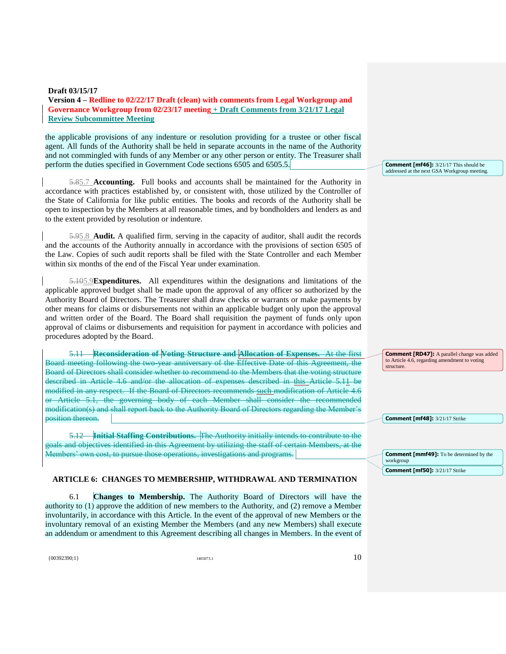the applicable provisions of any indenture or resolution providing for a trustee or other fiscal agent. All funds of the Authority shall be held in separate accounts in the name of the Authority and not commingled with funds of any Member or any other person or entity. The Treasurer shall perform the duties specified in Government Code sections 6505 and 6505.5.

5.85.7 **Accounting.** Full books and accounts shall be maintained for the Authority in accordance with practices established by, or consistent with, those utilized by the Controller of the State of California for like public entities. The books and records of the Authority shall be open to inspection by the Members at all reasonable times, and by bondholders and lenders as and to the extent provided by resolution or indenture.

5.95.8 **Audit.** A qualified firm, serving in the capacity of auditor, shall audit the records and the accounts of the Authority annually in accordance with the provisions of section 6505 of the Law. Copies of such audit reports shall be filed with the State Controller and each Member within six months of the end of the Fiscal Year under examination.

5.105.9**Expenditures.** All expenditures within the designations and limitations of the applicable approved budget shall be made upon the approval of any officer so authorized by the Authority Board of Directors. The Treasurer shall draw checks or warrants or make payments by other means for claims or disbursements not within an applicable budget only upon the approval and written order of the Board. The Board shall requisition the payment of funds only upon approval of claims or disbursements and requisition for payment in accordance with policies and procedures adopted by the Board.

5.11 **Reconsideration of Voting Structure and Allocation of Expenses.** At the first Board meeting following the two-year anniversary of the Effective Date of this Agreement, the Board of Directors shall consider whether to recommend to the Members that the voting structure described in Article 4.6 and/or the allocation of expenses described in this Article 5.11 be modified in any respect. If the Board of Directors recommends such modification of Article 4.6 or Article 5.1, the governing body of each Member shall consider the recommended modification(s) and shall report back to the Authority Board of Directors regarding the Member's position thereon.

5.12 **Initial Staffing Contributions.** The Authority initially intends to contribute to the goals and objectives identified in this Agreement by utilizing the staff of certain Members, at the Members' own cost, to pursue those operations, investigations and programs.

## **ARTICLE 6: CHANGES TO MEMBERSHIP, WITHDRAWAL AND TERMINATION**

6.1 **Changes to Membership.** The Authority Board of Directors will have the authority to (1) approve the addition of new members to the Authority, and (2) remove a Member involuntarily, in accordance with this Article. In the event of the approval of new Members or the involuntary removal of an existing Member the Members (and any new Members) shall execute an addendum or amendment to this Agreement describing all changes in Members. In the event of

**Comment [mf46]:** 3/21/17 This should be addressed at the next GSA Workgroup meeting.

**Comment [RD47]:** A parallel change was added to Article 4.6, regarding amendment to voting structure.

**Comment [mf48]:** 3/21/17 Strike

**Comment [mmf49]:** To be determined by the workgroup **Comment [mf50]:** 3/21/17 Strike

 ${10392390;1}$  10392390;1} 1465073.1 1465073.1 100392390;1}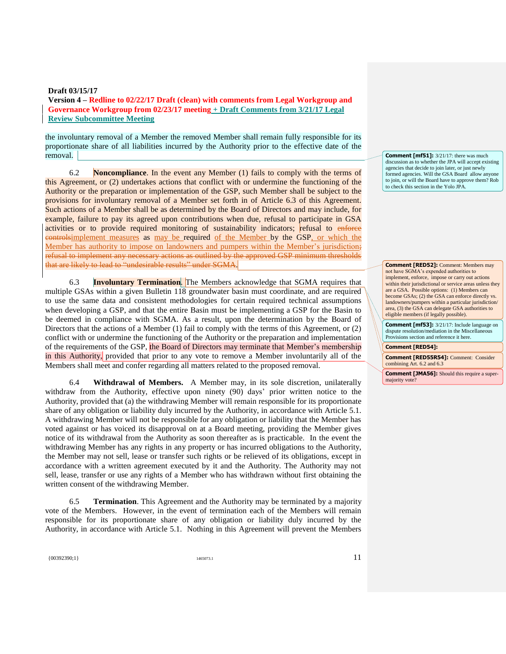**Version 4 – Redline to 02/22/17 Draft (clean) with comments from Legal Workgroup and Governance Workgroup from 02/23/17 meeting + Draft Comments from 3/21/17 Legal Review Subcommittee Meeting**

the involuntary removal of a Member the removed Member shall remain fully responsible for its proportionate share of all liabilities incurred by the Authority prior to the effective date of the removal.

6.2 **Noncompliance**. In the event any Member (1) fails to comply with the terms of this Agreement, or (2) undertakes actions that conflict with or undermine the functioning of the Authority or the preparation or implementation of the GSP, such Member shall be subject to the provisions for involuntary removal of a Member set forth in of Article 6.3 of this Agreement. Such actions of a Member shall be as determined by the Board of Directors and may include, for example, failure to pay its agreed upon contributions when due, refusal to participate in GSA activities or to provide required monitoring of sustainability indicators; refusal to enforce controlsimplement measures as may be required of the Member by the GSP, or which the Member has authority to impose on landowners and pumpers within the Member's jurisdiction; refusal to implement any necessary actions as outlined by the approved GSP minimum thresholds that are likely to lead to "undesirable results" under SGMA.

6.3 **Involuntary Termination**. The Members acknowledge that SGMA requires that multiple GSAs within a given Bulletin 118 groundwater basin must coordinate, and are required to use the same data and consistent methodologies for certain required technical assumptions when developing a GSP, and that the entire Basin must be implementing a GSP for the Basin to be deemed in compliance with SGMA. As a result, upon the determination by the Board of Directors that the actions of a Member (1) fail to comply with the terms of this Agreement, or (2) conflict with or undermine the functioning of the Authority or the preparation and implementation of the requirements of the GSP, the Board of Directors may terminate that Member's membership in this Authority, provided that prior to any vote to remove a Member involuntarily all of the Members shall meet and confer regarding all matters related to the proposed removal.

6.4 **Withdrawal of Members.** A Member may, in its sole discretion, unilaterally withdraw from the Authority, effective upon ninety (90) days' prior written notice to the Authority, provided that (a) the withdrawing Member will remain responsible for its proportionate share of any obligation or liability duly incurred by the Authority, in accordance with Article 5.1. A withdrawing Member will not be responsible for any obligation or liability that the Member has voted against or has voiced its disapproval on at a Board meeting, providing the Member gives notice of its withdrawal from the Authority as soon thereafter as is practicable. In the event the withdrawing Member has any rights in any property or has incurred obligations to the Authority, the Member may not sell, lease or transfer such rights or be relieved of its obligations, except in accordance with a written agreement executed by it and the Authority. The Authority may not sell, lease, transfer or use any rights of a Member who has withdrawn without first obtaining the written consent of the withdrawing Member.

6.5 **Termination**. This Agreement and the Authority may be terminated by a majority vote of the Members. However, in the event of termination each of the Members will remain responsible for its proportionate share of any obligation or liability duly incurred by the Authority, in accordance with Article 5.1. Nothing in this Agreement will prevent the Members

**Comment [mf51]:** 3/21/17: there was much discussion as to whether the JPA will accept existing agencies that decide to join later, or just newly formed agencies. Will the GSA Board allow anyon to join, or will the Board have to approve them? Rob to check this section in the Yolo JPA.

**Comment [RED52]:** Comment: Members may not have SGMA's expended authorities to implement, enforce, impose or carry out actions within their jurisdictional or service areas unless they are a GSA. Possible options: (1) Members can become GSAs; (2) the GSA can enforce directly vs. landowners/pumpers within a particular jurisdiction/ area, (3) the GSA can delegate GSA authorities to eligible members (if legally possible).

**Comment [mf53]:** 3/21/17: Include language on dispute resolution/mediation in the Miscellaneou Provisions section and reference it here.

## **Comment [RED54]:**

**Comment [RED55R54]:** Comment: Consider combining Art. 6.2 and 6.3

**Comment [JMA56]:** Should this require a supermajority vote?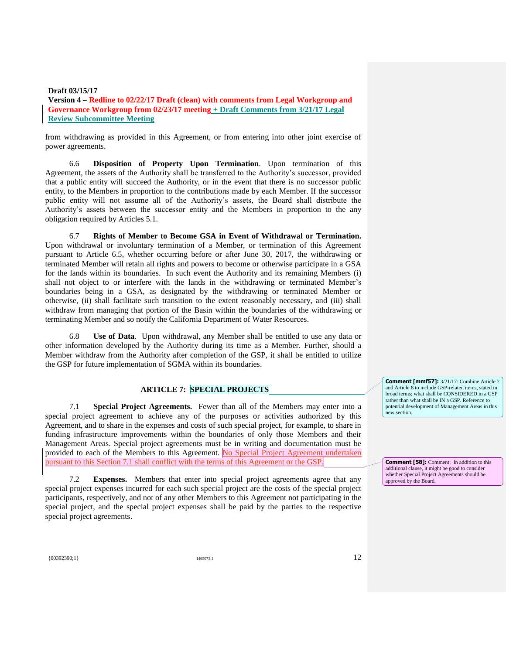**Version 4 – Redline to 02/22/17 Draft (clean) with comments from Legal Workgroup and Governance Workgroup from 02/23/17 meeting + Draft Comments from 3/21/17 Legal Review Subcommittee Meeting**

from withdrawing as provided in this Agreement, or from entering into other joint exercise of power agreements.

6.6 **Disposition of Property Upon Termination**. Upon termination of this Agreement, the assets of the Authority shall be transferred to the Authority's successor, provided that a public entity will succeed the Authority, or in the event that there is no successor public entity, to the Members in proportion to the contributions made by each Member. If the successor public entity will not assume all of the Authority's assets, the Board shall distribute the Authority's assets between the successor entity and the Members in proportion to the any obligation required by Articles 5.1.

6.7 **Rights of Member to Become GSA in Event of Withdrawal or Termination.**  Upon withdrawal or involuntary termination of a Member, or termination of this Agreement pursuant to Article 6.5, whether occurring before or after June 30, 2017, the withdrawing or terminated Member will retain all rights and powers to become or otherwise participate in a GSA for the lands within its boundaries. In such event the Authority and its remaining Members (i) shall not object to or interfere with the lands in the withdrawing or terminated Member's boundaries being in a GSA, as designated by the withdrawing or terminated Member or otherwise, (ii) shall facilitate such transition to the extent reasonably necessary, and (iii) shall withdraw from managing that portion of the Basin within the boundaries of the withdrawing or terminating Member and so notify the California Department of Water Resources.

6.8 **Use of Data**. Upon withdrawal, any Member shall be entitled to use any data or other information developed by the Authority during its time as a Member. Further, should a Member withdraw from the Authority after completion of the GSP, it shall be entitled to utilize the GSP for future implementation of SGMA within its boundaries.

# **ARTICLE 7: SPECIAL PROJECTS**

7.1 **Special Project Agreements.** Fewer than all of the Members may enter into a special project agreement to achieve any of the purposes or activities authorized by this Agreement, and to share in the expenses and costs of such special project, for example, to share in funding infrastructure improvements within the boundaries of only those Members and their Management Areas. Special project agreements must be in writing and documentation must be provided to each of the Members to this Agreement. No Special Project Agreement undertaken pursuant to this Section 7.1 shall conflict with the terms of this Agreement or the GSP.

7.2 **Expenses.** Members that enter into special project agreements agree that any special project expenses incurred for each such special project are the costs of the special project participants, respectively, and not of any other Members to this Agreement not participating in the special project, and the special project expenses shall be paid by the parties to the respective special project agreements.

**Comment [mmf57]:** 3/21/17: Combine Article 7 and Article 8 to include GSP-related items, stated in broad terms; what shall be CONSIDERED in a GSP rather than what shall be IN a GSP. Reference to potential development of Management Areas in this new section.

**Comment [58]:** Comment: In addition to this additional clause, it might be good to consider whether Special Project Agreements should be approved by the Board.

 ${1465073.1}$  1465073.1 1465073.1 1465073.1 12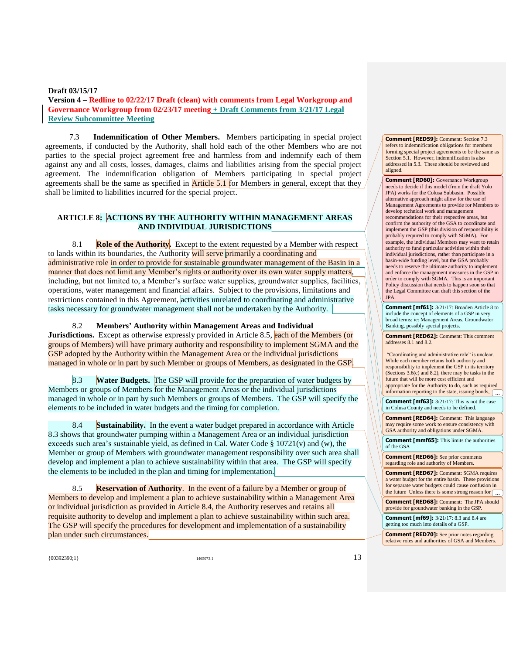7.3 **Indemnification of Other Members.** Members participating in special project agreements, if conducted by the Authority, shall hold each of the other Members who are not parties to the special project agreement free and harmless from and indemnify each of them against any and all costs, losses, damages, claims and liabilities arising from the special project agreement. The indemnification obligation of Members participating in special project agreements shall be the same as specified in **Article 5.1** for Members in general, except that they shall be limited to liabilities incurred for the special project.

# **ARTICLE 8: ACTIONS BY THE AUTHORITY WITHIN MANAGEMENT AREAS AND INDIVIDUAL JURISDICTIONS**

8.1 **Role of the Authority.** Except to the extent requested by a Member with respect to lands within its boundaries, the Authority will serve primarily a coordinating and administrative role in order to provide for sustainable groundwater management of the Basin in a manner that does not limit any Member's rights or authority over its own water supply matters, including, but not limited to, a Member's surface water supplies, groundwater supplies, facilities, operations, water management and financial affairs. Subject to the provisions, limitations and restrictions contained in this Agreement, activities unrelated to coordinating and administrative tasks necessary for groundwater management shall not be undertaken by the Authority.

8.2 **Members' Authority within Management Areas and Individual** 

**Jurisdictions.** Except as otherwise expressly provided in Article 8.5, each of the Members (or groups of Members) will have primary authority and responsibility to implement SGMA and the GSP adopted by the Authority within the Management Area or the individual jurisdictions managed in whole or in part by such Member or groups of Members, as designated in the GSP.

8.3 **Water Budgets.** The GSP will provide for the preparation of water budgets by Members or groups of Members for the Management Areas or the individual jurisdictions managed in whole or in part by such Members or groups of Members. The GSP will specify the elements to be included in water budgets and the timing for completion.

8.4 **Sustainability.** In the event a water budget prepared in accordance with Article 8.3 shows that groundwater pumping within a Management Area or an individual jurisdiction exceeds such area's sustainable yield, as defined in Cal. Water Code  $\S 10721(v)$  and (w), the Member or group of Members with groundwater management responsibility over such area shall develop and implement a plan to achieve sustainability within that area. The GSP will specify the elements to be included in the plan and timing for implementation.

8.5 **Reservation of Authority**. In the event of a failure by a Member or group of Members to develop and implement a plan to achieve sustainability within a Management Area or individual jurisdiction as provided in Article 8.4, the Authority reserves and retains all requisite authority to develop and implement a plan to achieve sustainability within such area. The GSP will specify the procedures for development and implementation of a sustainability plan under such circumstances.

 ${13 \choose 00392390;1}$  1465073.1 1465073.1 1465073.1 13

**Comment [RED59]:** Comment: Section 7.3 refers to indemnification obligations for members forming special project agreements to be the same as Section 5.1. However, indemnification is also addressed in 5.3. These should be reviewed and aligned.

**Comment [RD60]:** Governance Workgroup needs to decide if this model (from the draft Yolo JPA) works for the Colusa Subbasin. Possible alternative approach might allow for the use of Management Agreements to provide for Members to develop technical work and management recommendations for their respective areas, but confirm the authority of the GSA to coordinate and implement the GSP (this division of responsibility is probably required to comply with SGMA). For example, the individual Members may want to retain authority to fund particular activities within their individual jurisdictions, rather than participate in a basin-wide funding level, but the GSA probably needs to reserve the ultimate authority to implement and enforce the management measures in the GSP in order to comply with SGMA. This is an important Policy discussion that needs to happen soon so that the Legal Committee can draft this section of the JPA.

**Comment [mf61]:** 3/21/17: Broaden Article 8 to include the concept of elements of a GSP in very broad terms: ie: Management Areas, Groundwater Banking, possibly special projects.

**Comment [RED62]:** Comment: This comment addresses 8.1 and 8.2.

"Coordinating and administrative role" is unclear. While each member retains both authority and responsibility to implement the GSP in its territory (Sections 3.6(c) and 8.2), there may be tasks in the future that will be more cost efficient and appropriate for the Authority to do, such as required information reporting to the state, issuing bonds,  $\boxed{...}$ 

**Comment [mf63]:** 3/21/17: This is not the case in Colusa County and needs to be defined.

**Comment [RED64]:** Comment: This language may require some work to ensure consistency with GSA authority and obligations under SGMA.

**Comment [mmf65]:** This limits the authorities of the GSA

**Comment [RED66]:** See prior comments regarding role and authority of Members.

**Comment [RED67]:** Comment: SGMA requires a water budget for the entire basin. These provisions for separate water budgets could cause confusion in the future Unless there is some strong reason for ...

**Comment [RED68]:** Comment: The JPA should provide for groundwater banking in the GSP.

**Comment [mf69]:** 3/21/17: 8.3 and 8.4 are getting too much into details of a GSP.

**Comment [RED70]:** See prior notes regarding relative roles and authorities of GSA and Members.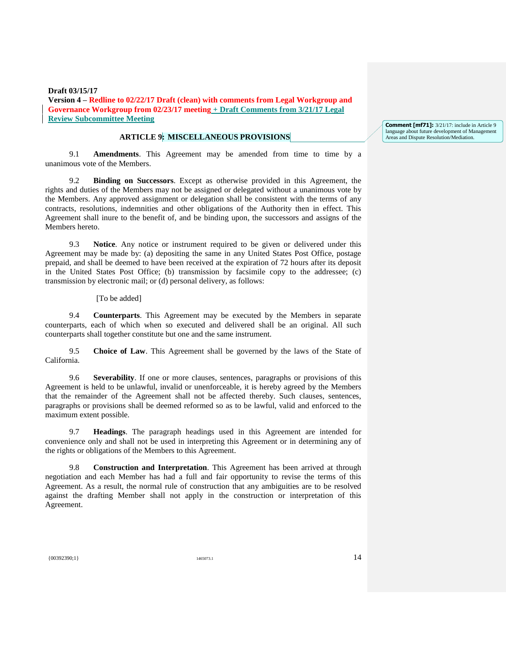# **ARTICLE 9: MISCELLANEOUS PROVISIONS**

9.1 **Amendments**. This Agreement may be amended from time to time by a unanimous vote of the Members.

9.2 **Binding on Successors**. Except as otherwise provided in this Agreement, the rights and duties of the Members may not be assigned or delegated without a unanimous vote by the Members. Any approved assignment or delegation shall be consistent with the terms of any contracts, resolutions, indemnities and other obligations of the Authority then in effect. This Agreement shall inure to the benefit of, and be binding upon, the successors and assigns of the Members hereto.

9.3 **Notice**. Any notice or instrument required to be given or delivered under this Agreement may be made by: (a) depositing the same in any United States Post Office, postage prepaid, and shall be deemed to have been received at the expiration of 72 hours after its deposit in the United States Post Office; (b) transmission by facsimile copy to the addressee; (c) transmission by electronic mail; or (d) personal delivery, as follows:

[To be added]

9.4 **Counterparts**. This Agreement may be executed by the Members in separate counterparts, each of which when so executed and delivered shall be an original. All such counterparts shall together constitute but one and the same instrument.

9.5 **Choice of Law**. This Agreement shall be governed by the laws of the State of California.

9.6 **Severability**. If one or more clauses, sentences, paragraphs or provisions of this Agreement is held to be unlawful, invalid or unenforceable, it is hereby agreed by the Members that the remainder of the Agreement shall not be affected thereby. Such clauses, sentences, paragraphs or provisions shall be deemed reformed so as to be lawful, valid and enforced to the maximum extent possible.

9.7 **Headings**. The paragraph headings used in this Agreement are intended for convenience only and shall not be used in interpreting this Agreement or in determining any of the rights or obligations of the Members to this Agreement.

9.8 **Construction and Interpretation**. This Agreement has been arrived at through negotiation and each Member has had a full and fair opportunity to revise the terms of this Agreement. As a result, the normal rule of construction that any ambiguities are to be resolved against the drafting Member shall not apply in the construction or interpretation of this Agreement.

 ${1465073.1}$  1465073.1 1465073.1 1465073.1 1465073.1 1465073.1 1465073.1 1465073.1 1465073.1 1465073.1 1465073.1 1465073.1 1465073.1 1465073.1 1465073.1 1465073.1 1465073.1 1465073.1 1465073.1 1465073.1 1465073.1 147 147

**Comment [mf71]:** 3/21/17: include in Article 9 language about future development of Management Areas and Dispute Resolution/Mediation.